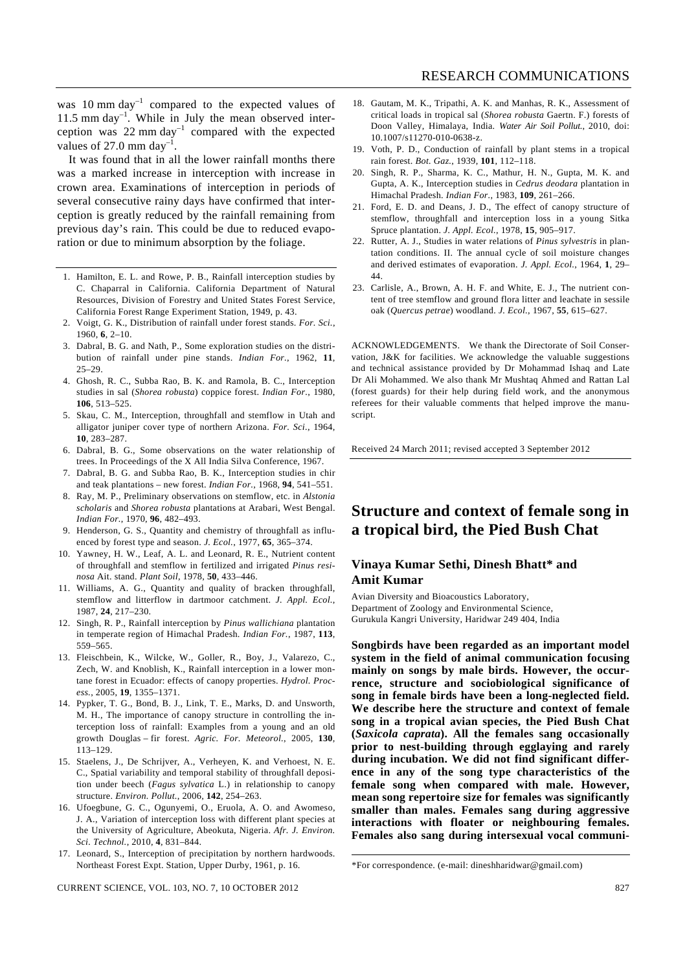was  $10 \text{ mm day}^{-1}$  compared to the expected values of 11.5 mm day $^{-1}$ . While in July the mean observed interception was  $22 \text{ mm day}^{-1}$  compared with the expected values of 27.0 mm day<sup>-1</sup>.

 It was found that in all the lower rainfall months there was a marked increase in interception with increase in crown area. Examinations of interception in periods of several consecutive rainy days have confirmed that interception is greatly reduced by the rainfall remaining from previous day's rain. This could be due to reduced evaporation or due to minimum absorption by the foliage.

- 1. Hamilton, E. L. and Rowe, P. B., Rainfall interception studies by C. Chaparral in California. California Department of Natural Resources, Division of Forestry and United States Forest Service, California Forest Range Experiment Station, 1949, p. 43.
- 2. Voigt, G. K., Distribution of rainfall under forest stands. *For. Sci.*, 1960, **6**, 2–10.
- 3. Dabral, B. G. and Nath, P., Some exploration studies on the distribution of rainfall under pine stands. *Indian For.*, 1962, **11**, 25–29.
- 4. Ghosh, R. C., Subba Rao, B. K. and Ramola, B. C., Interception studies in sal (*Shorea robusta*) coppice forest. *Indian For.*, 1980, **106**, 513–525.
- 5. Skau, C. M., Interception, throughfall and stemflow in Utah and alligator juniper cover type of northern Arizona. *For. Sci.*, 1964, **10**, 283–287.
- 6. Dabral, B. G., Some observations on the water relationship of trees. In Proceedings of the X All India Silva Conference, 1967.
- 7. Dabral, B. G. and Subba Rao, B. K., Interception studies in chir and teak plantations – new forest. *Indian For.*, 1968, **94**, 541–551.
- 8. Ray, M. P., Preliminary observations on stemflow, etc. in *Alstonia scholaris* and *Shorea robusta* plantations at Arabari, West Bengal. *Indian For.*, 1970, **96**, 482–493.
- 9. Henderson, G. S., Quantity and chemistry of throughfall as influenced by forest type and season. *J. Ecol.*, 1977, **65**, 365–374.
- 10. Yawney, H. W., Leaf, A. L. and Leonard, R. E., Nutrient content of throughfall and stemflow in fertilized and irrigated *Pinus resinosa* Ait. stand. *Plant Soil*, 1978, **50**, 433–446.
- 11. Williams, A. G., Quantity and quality of bracken throughfall, stemflow and litterflow in dartmoor catchment. *J. Appl. Ecol.*, 1987, **24**, 217–230.
- 12. Singh, R. P., Rainfall interception by *Pinus wallichiana* plantation in temperate region of Himachal Pradesh. *Indian For.*, 1987, **113**, 559–565.
- 13. Fleischbein, K., Wilcke, W., Goller, R., Boy, J., Valarezo, C., Zech, W. and Knoblish, K., Rainfall interception in a lower montane forest in Ecuador: effects of canopy properties. *Hydrol. Process.*, 2005, **19**, 1355–1371.
- 14. Pypker, T. G., Bond, B. J., Link, T. E., Marks, D. and Unsworth, M. H., The importance of canopy structure in controlling the interception loss of rainfall: Examples from a young and an old growth Douglas – fir forest. *Agric. For. Meteorol.*, 2005, **130**, 113–129.
- 15. Staelens, J., De Schrijver, A., Verheyen, K. and Verhoest, N. E. C., Spatial variability and temporal stability of throughfall deposition under beech (*Fagus sylvatica* L.) in relationship to canopy structure. *Environ. Pollut.*, 2006, **142**, 254–263.
- 16. Ufoegbune, G. C., Ogunyemi, O., Eruola, A. O. and Awomeso, J. A., Variation of interception loss with different plant species at the University of Agriculture, Abeokuta, Nigeria. *Afr. J. Environ. Sci. Technol.*, 2010, **4**, 831–844.
- 17. Leonard, S., Interception of precipitation by northern hardwoods. Northeast Forest Expt. Station, Upper Durby, 1961, p. 16.

CURRENT SCIENCE, VOL. 103, NO. 7, 10 OCTOBER 2012 827

- 18. Gautam, M. K., Tripathi, A. K. and Manhas, R. K., Assessment of critical loads in tropical sal (*Shorea robusta* Gaertn. F.) forests of Doon Valley, Himalaya, India. *Water Air Soil Pollut.*, 2010, doi: 10.1007/s11270-010-0638-z.
- 19. Voth, P. D., Conduction of rainfall by plant stems in a tropical rain forest. *Bot. Gaz.*, 1939, **101**, 112–118.
- 20. Singh, R. P., Sharma, K. C., Mathur, H. N., Gupta, M. K. and Gupta, A. K., Interception studies in *Cedrus deodara* plantation in Himachal Pradesh. *Indian For.*, 1983, **109**, 261–266.
- 21. Ford, E. D. and Deans, J. D., The effect of canopy structure of stemflow, throughfall and interception loss in a young Sitka Spruce plantation. *J. Appl. Ecol.*, 1978, **15**, 905–917.
- 22. Rutter, A. J., Studies in water relations of *Pinus sylvestris* in plantation conditions. II. The annual cycle of soil moisture changes and derived estimates of evaporation. *J. Appl. Ecol.*, 1964, **1**, 29– 44.
- 23. Carlisle, A., Brown, A. H. F. and White, E. J., The nutrient content of tree stemflow and ground flora litter and leachate in sessile oak (*Quercus petrae*) woodland. *J. Ecol.*, 1967, **55**, 615–627.

ACKNOWLEDGEMENTS. We thank the Directorate of Soil Conservation, J&K for facilities. We acknowledge the valuable suggestions and technical assistance provided by Dr Mohammad Ishaq and Late Dr Ali Mohammed. We also thank Mr Mushtaq Ahmed and Rattan Lal (forest guards) for their help during field work, and the anonymous referees for their valuable comments that helped improve the manuscript.

Received 24 March 2011; revised accepted 3 September 2012

# **Structure and context of female song in a tropical bird, the Pied Bush Chat**

# **Vinaya Kumar Sethi, Dinesh Bhatt\* and Amit Kumar**

Avian Diversity and Bioacoustics Laboratory, Department of Zoology and Environmental Science, Gurukula Kangri University, Haridwar 249 404, India

**Songbirds have been regarded as an important model system in the field of animal communication focusing mainly on songs by male birds. However, the occurrence, structure and sociobiological significance of song in female birds have been a long-neglected field. We describe here the structure and context of female song in a tropical avian species, the Pied Bush Chat (***Saxicola caprata***). All the females sang occasionally prior to nest-building through egglaying and rarely during incubation. We did not find significant difference in any of the song type characteristics of the female song when compared with male. However, mean song repertoire size for females was significantly smaller than males. Females sang during aggressive interactions with floater or neighbouring females. Females also sang during intersexual vocal communi-**

<sup>\*</sup>For correspondence. (e-mail: dineshharidwar@gmail.com)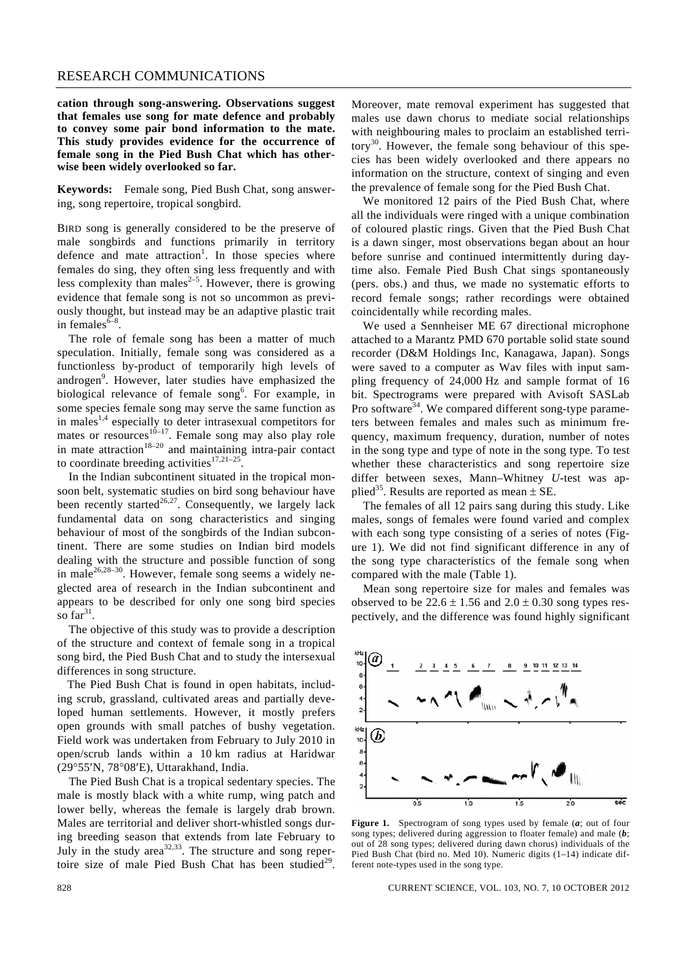#### RESEARCH COMMUNICATIONS

**cation through song-answering. Observations suggest that females use song for mate defence and probably to convey some pair bond information to the mate. This study provides evidence for the occurrence of female song in the Pied Bush Chat which has otherwise been widely overlooked so far.** 

**Keywords:** Female song, Pied Bush Chat, song answering, song repertoire, tropical songbird.

BIRD song is generally considered to be the preserve of male songbirds and functions primarily in territory defence and mate attraction<sup>1</sup>. In those species where females do sing, they often sing less frequently and with less complexity than males $2-5$ . However, there is growing evidence that female song is not so uncommon as previously thought, but instead may be an adaptive plastic trait in females $6-8$ .

 The role of female song has been a matter of much speculation. Initially, female song was considered as a functionless by-product of temporarily high levels of androgen<sup>9</sup>. However, later studies have emphasized the biological relevance of female song<sup>6</sup>. For example, in some species female song may serve the same function as in males<sup>1,4</sup> especially to deter intrasexual competitors for mates or resources $10-17$ . Female song may also play role in mate attraction $18-20$  and maintaining intra-pair contact to coordinate breeding activities $17,21-25$ 

 In the Indian subcontinent situated in the tropical monsoon belt, systematic studies on bird song behaviour have been recently started<sup>26,27</sup>. Consequently, we largely lack fundamental data on song characteristics and singing behaviour of most of the songbirds of the Indian subcontinent. There are some studies on Indian bird models dealing with the structure and possible function of song in male<sup>26,28–30</sup>. However, female song seems a widely neglected area of research in the Indian subcontinent and appears to be described for only one song bird species so  $far^{31}$ .

 The objective of this study was to provide a description of the structure and context of female song in a tropical song bird, the Pied Bush Chat and to study the intersexual differences in song structure.

The Pied Bush Chat is found in open habitats, including scrub, grassland, cultivated areas and partially developed human settlements. However, it mostly prefers open grounds with small patches of bushy vegetation. Field work was undertaken from February to July 2010 in open/scrub lands within a 10 km radius at Haridwar (29°55′N, 78°08′E), Uttarakhand, India.

 The Pied Bush Chat is a tropical sedentary species. The male is mostly black with a white rump, wing patch and lower belly, whereas the female is largely drab brown. Males are territorial and deliver short-whistled songs during breeding season that extends from late February to July in the study area<sup>32,33</sup>. The structure and song repertoire size of male Pied Bush Chat has been studied<sup>29</sup>. Moreover, mate removal experiment has suggested that males use dawn chorus to mediate social relationships with neighbouring males to proclaim an established territory<sup>30</sup>. However, the female song behaviour of this species has been widely overlooked and there appears no information on the structure, context of singing and even the prevalence of female song for the Pied Bush Chat.

 We monitored 12 pairs of the Pied Bush Chat, where all the individuals were ringed with a unique combination of coloured plastic rings. Given that the Pied Bush Chat is a dawn singer, most observations began about an hour before sunrise and continued intermittently during daytime also. Female Pied Bush Chat sings spontaneously (pers. obs.) and thus, we made no systematic efforts to record female songs; rather recordings were obtained coincidentally while recording males.

 We used a Sennheiser ME 67 directional microphone attached to a Marantz PMD 670 portable solid state sound recorder (D&M Holdings Inc, Kanagawa, Japan). Songs were saved to a computer as Wav files with input sampling frequency of 24,000 Hz and sample format of 16 bit. Spectrograms were prepared with Avisoft SASLab Pro software<sup>34</sup>. We compared different song-type parameters between females and males such as minimum frequency, maximum frequency, duration, number of notes in the song type and type of note in the song type. To test whether these characteristics and song repertoire size differ between sexes, Mann–Whitney *U-*test was applied<sup>35</sup>. Results are reported as mean  $\pm$  SE.

 The females of all 12 pairs sang during this study. Like males, songs of females were found varied and complex with each song type consisting of a series of notes (Figure 1). We did not find significant difference in any of the song type characteristics of the female song when compared with the male (Table 1).

 Mean song repertoire size for males and females was observed to be  $22.6 \pm 1.56$  and  $2.0 \pm 0.30$  song types respectively, and the difference was found highly significant



**Figure 1.** Spectrogram of song types used by female (*a*; out of four song types; delivered during aggression to floater female) and male (*b*; out of 28 song types; delivered during dawn chorus) individuals of the Pied Bush Chat (bird no. Med 10). Numeric digits (1-14) indicate different note-types used in the song type.

828 CURRENT SCIENCE, VOL. 103, NO. 7, 10 OCTOBER 2012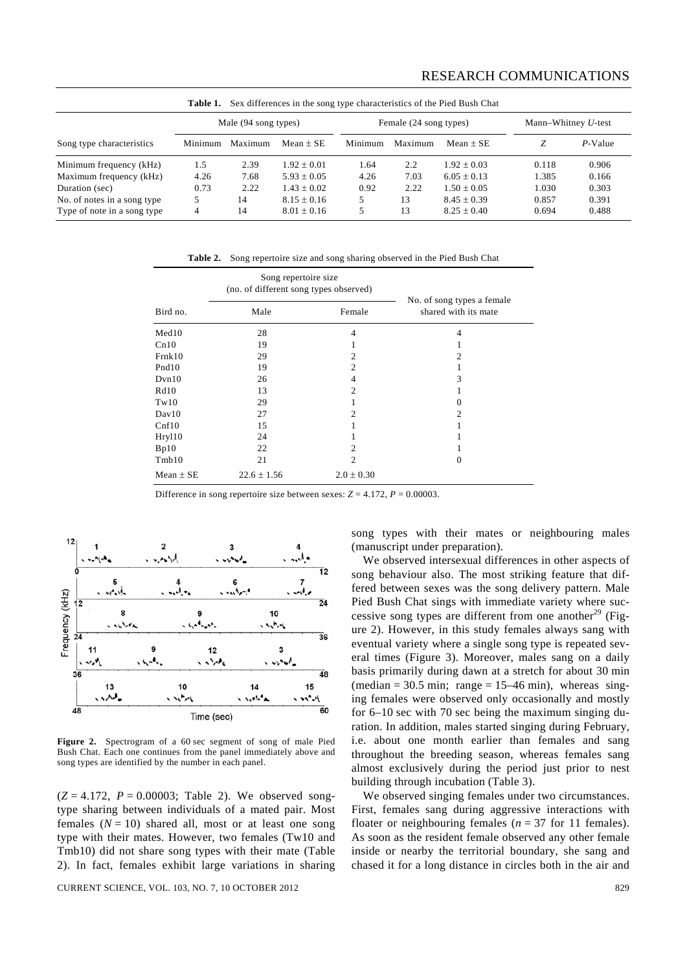## RESEARCH COMMUNICATIONS

| Sex differences in the song type characteristics of the Pied Bush Chat<br>Table 1. |                      |         |                 |                        |         |                 |                        |         |
|------------------------------------------------------------------------------------|----------------------|---------|-----------------|------------------------|---------|-----------------|------------------------|---------|
|                                                                                    | Male (94 song types) |         |                 | Female (24 song types) |         |                 | Mann-Whitney $U$ -test |         |
| Song type characteristics                                                          | Minimum              | Maximum | Mean $\pm$ SE   | Minimum                | Maximum | Mean $\pm$ SE   | Z                      | P-Value |
| Minimum frequency (kHz)                                                            | 1.5                  | 2.39    | $1.92 \pm 0.01$ | 1.64                   | 2.2     | $1.92 \pm 0.03$ | 0.118                  | 0.906   |
| Maximum frequency (kHz)                                                            | 4.26                 | 7.68    | $5.93 + 0.05$   | 4.26                   | 7.03    | $6.05 + 0.13$   | 1.385                  | 0.166   |
| Duration (sec)                                                                     | 0.73                 | 2.22    | $1.43 + 0.02$   | 0.92                   | 2.22    | $1.50 + 0.05$   | 1.030                  | 0.303   |
| No. of notes in a song type                                                        |                      | 14      | $8.15 \pm 0.16$ |                        | 13      | $8.45 + 0.39$   | 0.857                  | 0.391   |
| Type of note in a song type                                                        | 4                    | 14      | $8.01 \pm 0.16$ |                        | 13      | $8.25 + 0.40$   | 0.694                  | 0.488   |

**Table 2.** Song repertoire size and song sharing observed in the Pied Bush Chat

|                   | Song repertoire size<br>(no. of different song types observed) |                |                                                    |  |
|-------------------|----------------------------------------------------------------|----------------|----------------------------------------------------|--|
| Bird no.          | Male                                                           | Female         | No. of song types a female<br>shared with its mate |  |
| Med10             | 28                                                             | 4              | 4                                                  |  |
| Cn10              | 19                                                             |                |                                                    |  |
| Frnk10            | 29                                                             | 2              | 2                                                  |  |
| Pnd <sub>10</sub> | 19                                                             | $\overline{2}$ |                                                    |  |
| Dvn10             | 26                                                             | 4              | 3                                                  |  |
| Rd10              | 13                                                             | $\overline{c}$ |                                                    |  |
| Tw10              | 29                                                             |                | 0                                                  |  |
| Day10             | 27                                                             | $\overline{c}$ | $\mathfrak{D}$                                     |  |
| Cnf10             | 15                                                             |                |                                                    |  |
| Hryl10            | 24                                                             |                |                                                    |  |
| Bp10              | 22                                                             | 2              |                                                    |  |
| Tmb10             | 21                                                             | 2              | $\Omega$                                           |  |
| Mean $\pm$ SE     | $22.6 \pm 1.56$                                                | $2.0 \pm 0.30$ |                                                    |  |

Difference in song repertoire size between sexes:  $Z = 4.172$ ,  $P = 0.00003$ .



**Figure 2.** Spectrogram of a 60 sec segment of song of male Pied Bush Chat. Each one continues from the panel immediately above and song types are identified by the number in each panel.

 $(Z = 4.172, P = 0.00003;$  Table 2). We observed songtype sharing between individuals of a mated pair. Most females  $(N = 10)$  shared all, most or at least one song type with their mates. However, two females (Tw10 and Tmb10) did not share song types with their mate (Table 2). In fact, females exhibit large variations in sharing

CURRENT SCIENCE, VOL. 103, NO. 7, 10 OCTOBER 2012 829

song types with their mates or neighbouring males (manuscript under preparation).

 We observed intersexual differences in other aspects of song behaviour also. The most striking feature that differed between sexes was the song delivery pattern. Male Pied Bush Chat sings with immediate variety where successive song types are different from one another<sup>29</sup> (Figure 2). However, in this study females always sang with eventual variety where a single song type is repeated several times (Figure 3). Moreover, males sang on a daily basis primarily during dawn at a stretch for about 30 min (median =  $30.5$  min; range =  $15-46$  min), whereas singing females were observed only occasionally and mostly for 6–10 sec with 70 sec being the maximum singing duration. In addition, males started singing during February, i.e. about one month earlier than females and sang throughout the breeding season, whereas females sang almost exclusively during the period just prior to nest building through incubation (Table 3).

 We observed singing females under two circumstances. First, females sang during aggressive interactions with floater or neighbouring females ( $n = 37$  for 11 females). As soon as the resident female observed any other female inside or nearby the territorial boundary, she sang and chased it for a long distance in circles both in the air and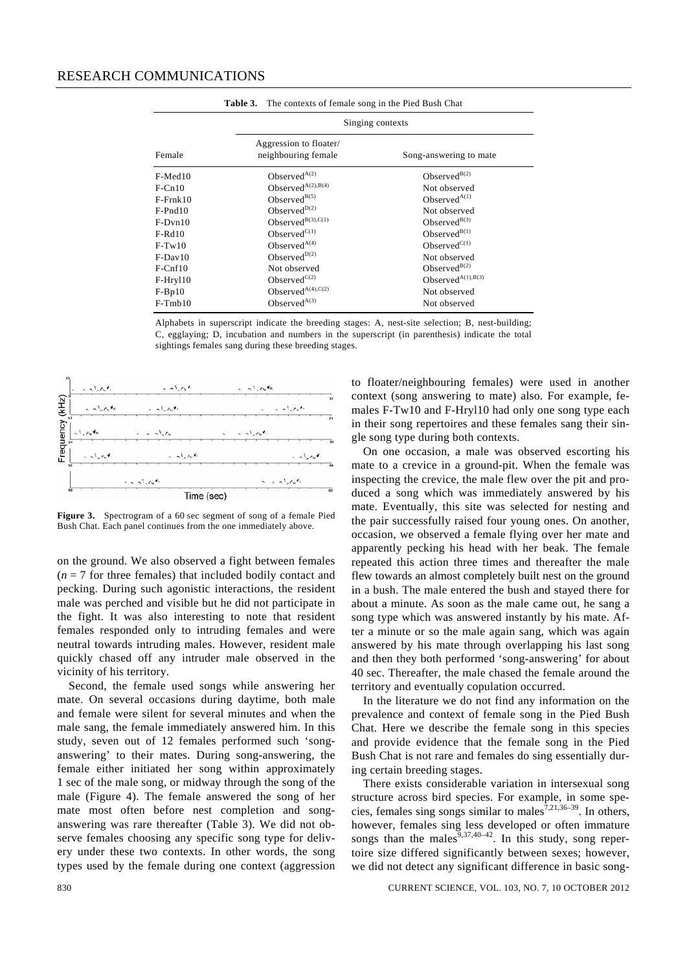|                                               | <b>THOICE.</b> The contents of female song in the Fied Bush Chat |  |  |  |  |
|-----------------------------------------------|------------------------------------------------------------------|--|--|--|--|
| Singing contexts                              |                                                                  |  |  |  |  |
| Aggression to floater/<br>neighbouring female | Song-answering to mate                                           |  |  |  |  |
| Observed $A(2)$                               | Observed <sup>B(2)</sup>                                         |  |  |  |  |
| Observed $A^{(2),B(4)}$                       | Not observed                                                     |  |  |  |  |
| Observed $B(5)$                               | Observed $A(1)$                                                  |  |  |  |  |
| Observed <sup>D(2)</sup>                      | Not observed                                                     |  |  |  |  |
| Observed <sup>B(3),C(1)</sup>                 | Observed <sup>B(3)</sup>                                         |  |  |  |  |
| Observed $C(1)$                               | Observed <sup>B(1)</sup>                                         |  |  |  |  |
| Observed $A(4)$                               | Observed $C(1)$                                                  |  |  |  |  |
| Observed $D(2)$                               | Not observed                                                     |  |  |  |  |
| Not observed                                  | Observed <sup>B(2)</sup>                                         |  |  |  |  |
| Observed $C(2)$                               | Observed $A(1),B(3)$                                             |  |  |  |  |
| Observed $A^{(4),C(2)}$                       | Not observed                                                     |  |  |  |  |
| Observed $A^{(3)}$                            | Not observed                                                     |  |  |  |  |
|                                               |                                                                  |  |  |  |  |

|  |  | <b>Table 3.</b> The contexts of female song in the Pied Bush Chat |  |  |
|--|--|-------------------------------------------------------------------|--|--|
|--|--|-------------------------------------------------------------------|--|--|

Alphabets in superscript indicate the breeding stages: A, nest-site selection; B, nest-building; C, egglaying; D, incubation and numbers in the superscript (in parenthesis) indicate the total sightings females sang during these breeding stages.



**Figure 3.** Spectrogram of a 60 sec segment of song of a female Pied Bush Chat. Each panel continues from the one immediately above.

on the ground. We also observed a fight between females  $(n = 7$  for three females) that included bodily contact and pecking. During such agonistic interactions, the resident male was perched and visible but he did not participate in the fight. It was also interesting to note that resident females responded only to intruding females and were neutral towards intruding males. However, resident male quickly chased off any intruder male observed in the vicinity of his territory.

 Second, the female used songs while answering her mate. On several occasions during daytime, both male and female were silent for several minutes and when the male sang, the female immediately answered him. In this study, seven out of 12 females performed such 'songanswering' to their mates. During song-answering, the female either initiated her song within approximately 1 sec of the male song, or midway through the song of the male (Figure 4). The female answered the song of her mate most often before nest completion and songanswering was rare thereafter (Table 3). We did not observe females choosing any specific song type for delivery under these two contexts. In other words, the song types used by the female during one context (aggression to floater/neighbouring females) were used in another context (song answering to mate) also. For example, females F-Tw10 and F-Hryl10 had only one song type each in their song repertoires and these females sang their single song type during both contexts.

 On one occasion, a male was observed escorting his mate to a crevice in a ground-pit. When the female was inspecting the crevice, the male flew over the pit and produced a song which was immediately answered by his mate. Eventually, this site was selected for nesting and the pair successfully raised four young ones. On another, occasion, we observed a female flying over her mate and apparently pecking his head with her beak. The female repeated this action three times and thereafter the male flew towards an almost completely built nest on the ground in a bush. The male entered the bush and stayed there for about a minute. As soon as the male came out, he sang a song type which was answered instantly by his mate. After a minute or so the male again sang, which was again answered by his mate through overlapping his last song and then they both performed 'song-answering' for about 40 sec. Thereafter, the male chased the female around the territory and eventually copulation occurred.

 In the literature we do not find any information on the prevalence and context of female song in the Pied Bush Chat. Here we describe the female song in this species and provide evidence that the female song in the Pied Bush Chat is not rare and females do sing essentially during certain breeding stages.

 There exists considerable variation in intersexual song structure across bird species. For example, in some species, females sing songs similar to males $^{7,21,36-39}$ . In others, however, females sing less developed or often immature songs than the males<sup>9,37,40–42</sup>. In this study, song repertoire size differed significantly between sexes; however, we did not detect any significant difference in basic song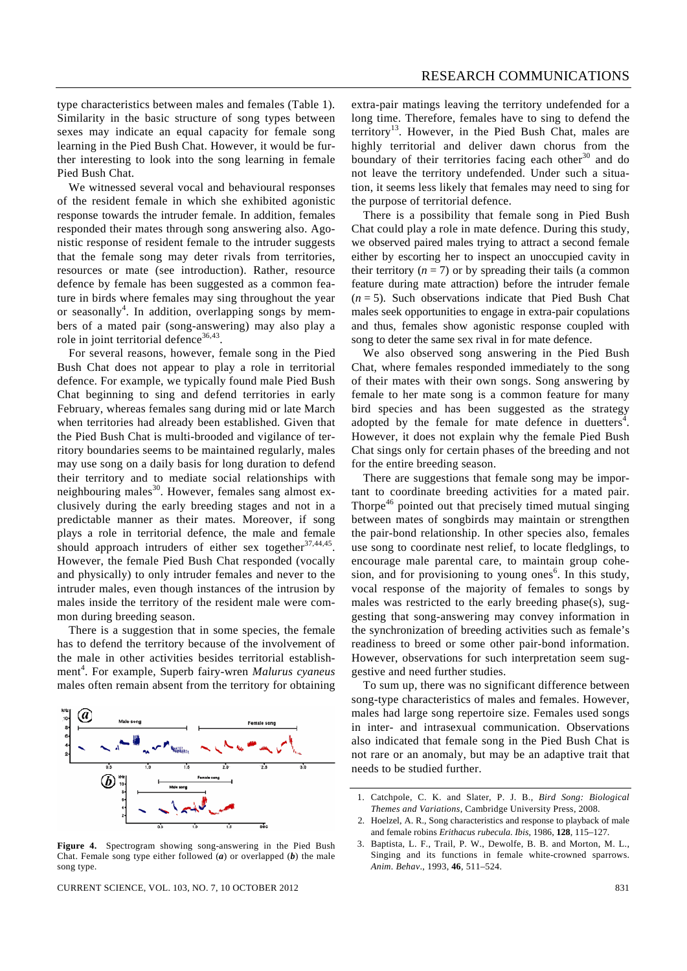type characteristics between males and females (Table 1). Similarity in the basic structure of song types between sexes may indicate an equal capacity for female song learning in the Pied Bush Chat. However, it would be further interesting to look into the song learning in female Pied Bush Chat.

 We witnessed several vocal and behavioural responses of the resident female in which she exhibited agonistic response towards the intruder female. In addition, females responded their mates through song answering also. Agonistic response of resident female to the intruder suggests that the female song may deter rivals from territories, resources or mate (see introduction). Rather, resource defence by female has been suggested as a common feature in birds where females may sing throughout the year or seasonally<sup>4</sup>. In addition, overlapping songs by members of a mated pair (song-answering) may also play a role in joint territorial defence $36,43$ .

 For several reasons, however, female song in the Pied Bush Chat does not appear to play a role in territorial defence. For example, we typically found male Pied Bush Chat beginning to sing and defend territories in early February, whereas females sang during mid or late March when territories had already been established. Given that the Pied Bush Chat is multi-brooded and vigilance of territory boundaries seems to be maintained regularly, males may use song on a daily basis for long duration to defend their territory and to mediate social relationships with neighbouring males<sup>30</sup>. However, females sang almost exclusively during the early breeding stages and not in a predictable manner as their mates. Moreover, if song plays a role in territorial defence, the male and female should approach intruders of either sex together $37,44,45$ . However, the female Pied Bush Chat responded (vocally and physically) to only intruder females and never to the intruder males, even though instances of the intrusion by males inside the territory of the resident male were common during breeding season.

 There is a suggestion that in some species, the female has to defend the territory because of the involvement of the male in other activities besides territorial establishment<sup>4</sup>. For example, Superb fairy-wren *Malurus cyaneus* males often remain absent from the territory for obtaining



**Figure 4.** Spectrogram showing song-answering in the Pied Bush Chat. Female song type either followed (*a*) or overlapped (*b*) the male song type.

CURRENT SCIENCE, VOL. 103, NO. 7, 10 OCTOBER 2012 831

extra-pair matings leaving the territory undefended for a long time. Therefore, females have to sing to defend the territory<sup>13</sup>. However, in the Pied Bush Chat, males are highly territorial and deliver dawn chorus from the boundary of their territories facing each other $30$  and do not leave the territory undefended. Under such a situation, it seems less likely that females may need to sing for the purpose of territorial defence.

 There is a possibility that female song in Pied Bush Chat could play a role in mate defence. During this study, we observed paired males trying to attract a second female either by escorting her to inspect an unoccupied cavity in their territory  $(n = 7)$  or by spreading their tails (a common feature during mate attraction) before the intruder female  $(n = 5)$ . Such observations indicate that Pied Bush Chat males seek opportunities to engage in extra-pair copulations and thus, females show agonistic response coupled with song to deter the same sex rival in for mate defence.

 We also observed song answering in the Pied Bush Chat, where females responded immediately to the song of their mates with their own songs. Song answering by female to her mate song is a common feature for many bird species and has been suggested as the strategy adopted by the female for mate defence in duetters<sup>4</sup>. However, it does not explain why the female Pied Bush Chat sings only for certain phases of the breeding and not for the entire breeding season.

 There are suggestions that female song may be important to coordinate breeding activities for a mated pair. Thorpe<sup>46</sup> pointed out that precisely timed mutual singing between mates of songbirds may maintain or strengthen the pair-bond relationship. In other species also, females use song to coordinate nest relief, to locate fledglings, to encourage male parental care, to maintain group cohesion, and for provisioning to young ones<sup>6</sup>. In this study, vocal response of the majority of females to songs by males was restricted to the early breeding phase(s), suggesting that song-answering may convey information in the synchronization of breeding activities such as female's readiness to breed or some other pair-bond information. However, observations for such interpretation seem suggestive and need further studies.

 To sum up, there was no significant difference between song-type characteristics of males and females. However, males had large song repertoire size. Females used songs in inter- and intrasexual communication. Observations also indicated that female song in the Pied Bush Chat is not rare or an anomaly, but may be an adaptive trait that needs to be studied further.

<sup>1.</sup> Catchpole, C. K. and Slater, P. J. B., *Bird Song: Biological Themes and Variations*, Cambridge University Press, 2008.

<sup>2.</sup> Hoelzel, A. R., Song characteristics and response to playback of male and female robins *Erithacus rubecula*. *Ibis*, 1986, **128**, 115–127.

<sup>3.</sup> Baptista, L. F., Trail, P. W., Dewolfe, B. B. and Morton, M. L., Singing and its functions in female white-crowned sparrows. *Anim. Behav*., 1993, **46**, 511–524.